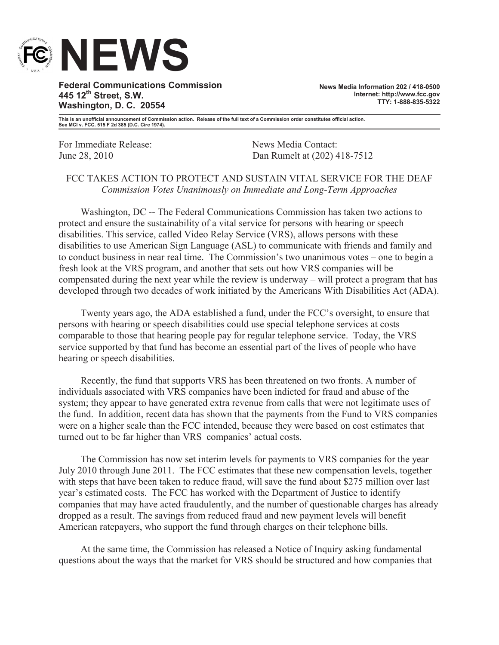

**Federal Communications Commission 445 12th Street, S.W. Washington, D. C. 20554**

**News Media Information 202 / 418-0500 Internet: http://www.fcc.gov TTY: 1-888-835-5322**

**This is an unofficial announcement of Commission action. Release of the full text of a Commission order constitutes official action. See MCI v. FCC. 515 F 2d 385 (D.C. Circ 1974).**

For Immediate Release: News Media Contact:

June 28, 2010 Dan Rumelt at (202) 418-7512

## FCC TAKES ACTION TO PROTECT AND SUSTAIN VITAL SERVICE FOR THE DEAF *Commission Votes Unanimously on Immediate and Long-Term Approaches*

Washington, DC -- The Federal Communications Commission has taken two actions to protect and ensure the sustainability of a vital service for persons with hearing or speech disabilities. This service, called Video Relay Service (VRS), allows persons with these disabilities to use American Sign Language (ASL) to communicate with friends and family and to conduct business in near real time. The Commission's two unanimous votes – one to begin a fresh look at the VRS program, and another that sets out how VRS companies will be compensated during the next year while the review is underway – will protect a program that has developed through two decades of work initiated by the Americans With Disabilities Act (ADA).

Twenty years ago, the ADA established a fund, under the FCC's oversight, to ensure that persons with hearing or speech disabilities could use special telephone services at costs comparable to those that hearing people pay for regular telephone service. Today, the VRS service supported by that fund has become an essential part of the lives of people who have hearing or speech disabilities.

Recently, the fund that supports VRS has been threatened on two fronts. A number of individuals associated with VRS companies have been indicted for fraud and abuse of the system; they appear to have generated extra revenue from calls that were not legitimate uses of the fund. In addition, recent data has shown that the payments from the Fund to VRS companies were on a higher scale than the FCC intended, because they were based on cost estimates that turned out to be far higher than VRS companies' actual costs.

The Commission has now set interim levels for payments to VRS companies for the year July 2010 through June 2011. The FCC estimates that these new compensation levels, together with steps that have been taken to reduce fraud, will save the fund about \$275 million over last year's estimated costs. The FCC has worked with the Department of Justice to identify companies that may have acted fraudulently, and the number of questionable charges has already dropped as a result. The savings from reduced fraud and new payment levels will benefit American ratepayers, who support the fund through charges on their telephone bills.

At the same time, the Commission has released a Notice of Inquiry asking fundamental questions about the ways that the market for VRS should be structured and how companies that